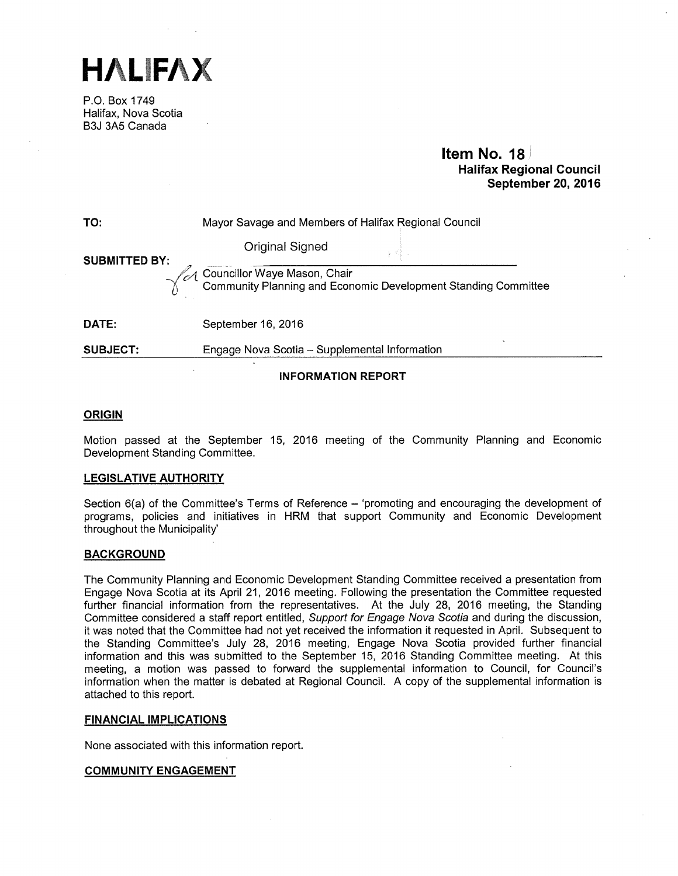HALiFAX

P.O. Box 1749 Halifax, Nova Scotia B3J 3A5 Canada

### Item No. 18 Halifax Regional Council September 20, 2016

| TO:                  | Mayor Savage and Members of Halifax Regional Council                                              |  |
|----------------------|---------------------------------------------------------------------------------------------------|--|
| <b>SUBMITTED BY:</b> | Original Signed                                                                                   |  |
|                      | LA Councillor Waye Mason, Chair<br>Community Planning and Economic Development Standing Committee |  |
| DATE:                | September 16, 2016                                                                                |  |
| <b>SUBJECT:</b>      | Engage Nova Scotia - Supplemental Information                                                     |  |

### INFORMATION REPORT

### **ORIGIN**

Motion passed at the September 15, 2016 meeting of the Community Planning and Economic Development Standing Committee.

### LEGISLATIVE AUTHORITY

Section  $6(a)$  of the Committee's Terms of Reference  $-$  'promoting and encouraging the development of programs, policies and initiatives in HRM that support Community and Economic Development throughout the Municipality'

#### **BACKGROUND**

The Community Planning and Economic Development Standing Committee received a presentation from Engage Nova Scotia at its April 21, 2016 meeting. Following the presentation the Committee requested further financial information from the representatives. At the July 28, 2016 meeting, the Standing Committee considered a staff report entitled, Support for Engage Nova Scotia and during the discussion, it was noted that the Committee had not yet received the information it requested in April. Subsequent to the Standing Committee's July 28, 2016 meeting, Engage Nova Scotia provided further financial information and this was submitted to the September 15, 2016 Standing Committee meeting. At this meeting, a motion was passed to forward the supplemental information to Council, for Council's information when the matter is debated at Regional Council. A copy of the supplemental information is attached to this report.

### FINANCIAL IMPLICATIONS

None associated with this information report.

### COMMUNITY ENGAGEMENT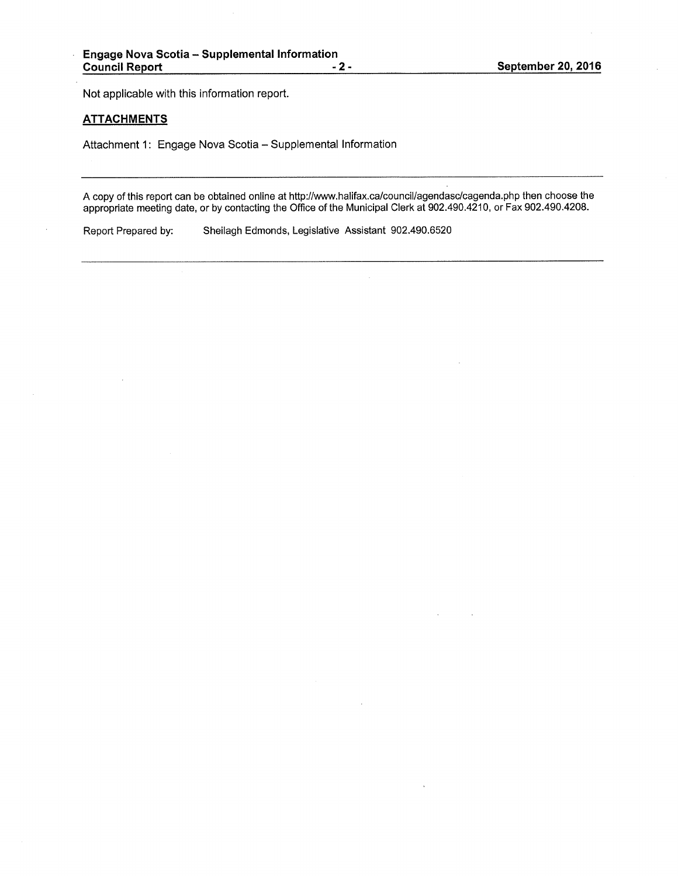Not applicable with this information report.

### **ATTACHMENTS**

Attachment 1: Engage Nova Scotia — Supplemental Information

A copy of this report can be obtained online at http://www.halifax.ca/council/agendasc/cagenda.php then choose the appropriate meeting date, or by contacting the Office of the Municipal Clerk at 902.490.4210, or Fax 902.490.4208.

Report Prepared by: Sheilagh Edmonds, Legislative Assistant 902.490.6520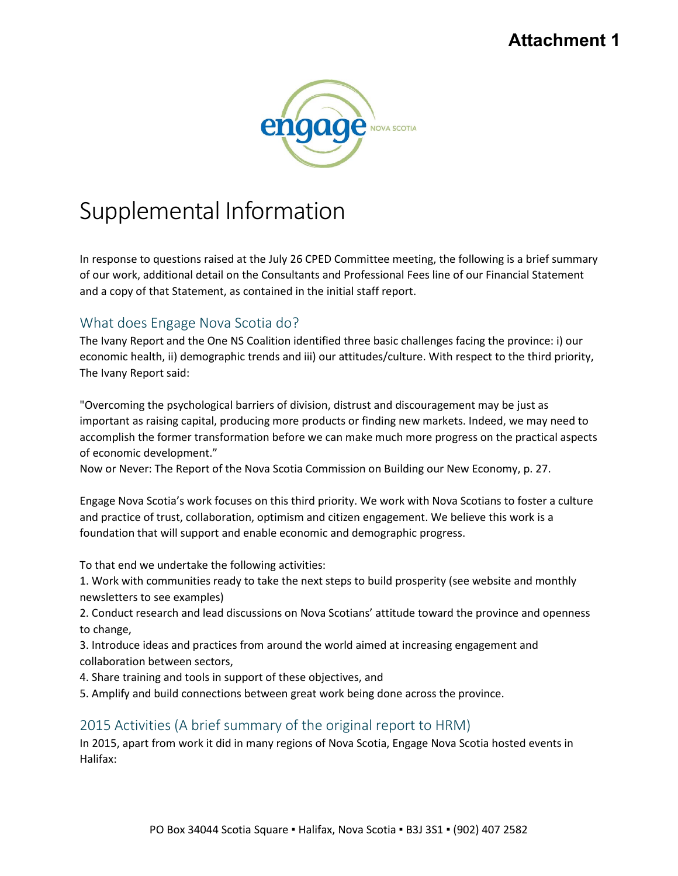## **Attachment 1**



# Supplemental Information

In response to questions raised at the July 26 CPED Committee meeting, the following is a brief summary of our work, additional detail on the Consultants and Professional Fees line of our Financial Statement and a copy of that Statement, as contained in the initial staff report.

## What does Engage Nova Scotia do?

The Ivany Report and the One NS Coalition identified three basic challenges facing the province: i) our economic health, ii) demographic trends and iii) our attitudes/culture. With respect to the third priority, The Ivany Report said:

"Overcoming the psychological barriers of division, distrust and discouragement may be just as important as raising capital, producing more products or finding new markets. Indeed, we may need to accomplish the former transformation before we can make much more progress on the practical aspects of economic development."

Now or Never: The Report of the Nova Scotia Commission on Building our New Economy, p. 27.

Engage Nova Scotia's work focuses on this third priority. We work with Nova Scotians to foster a culture and practice of trust, collaboration, optimism and citizen engagement. We believe this work is a foundation that will support and enable economic and demographic progress.

To that end we undertake the following activities:

1. Work with communities ready to take the next steps to build prosperity (see website and monthly newsletters to see examples)

2. Conduct research and lead discussions on Nova Scotians' attitude toward the province and openness to change,

3. Introduce ideas and practices from around the world aimed at increasing engagement and collaboration between sectors,

4. Share training and tools in support of these objectives, and

5. Amplify and build connections between great work being done across the province.

## 2015 Activities (A brief summary of the original report to HRM)

In 2015, apart from work it did in many regions of Nova Scotia, Engage Nova Scotia hosted events in Halifax: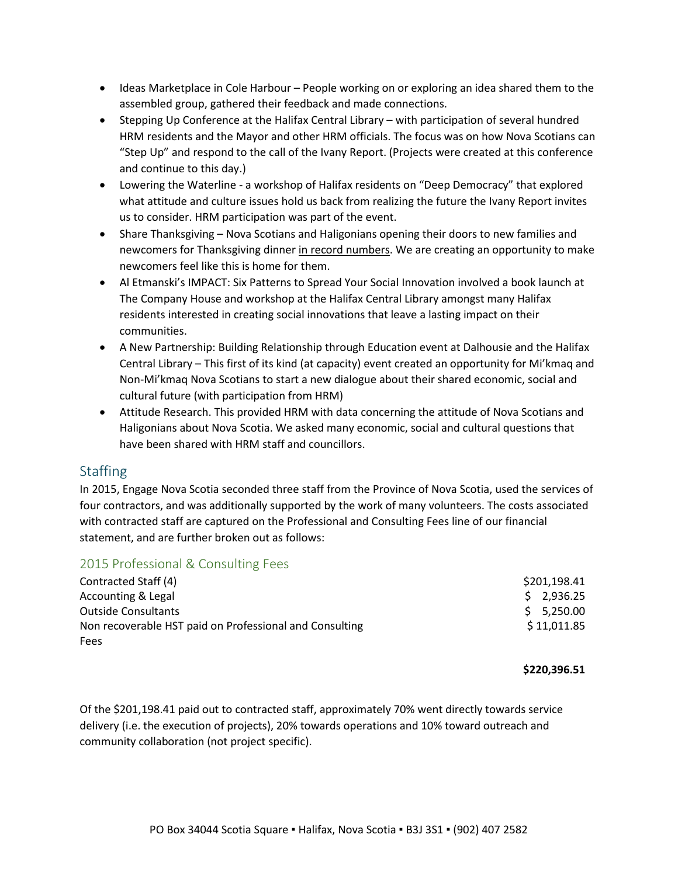- Ideas Marketplace in Cole Harbour People working on or exploring an idea shared them to the assembled group, gathered their feedback and made connections.
- Stepping Up Conference at the Halifax Central Library with participation of several hundred HRM residents and the Mayor and other HRM officials. The focus was on how Nova Scotians can "Step Up" and respond to the call of the Ivany Report. (Projects were created at this conference and continue to this day.)
- Lowering the Waterline a workshop of Halifax residents on "Deep Democracy" that explored what attitude and culture issues hold us back from realizing the future the Ivany Report invites us to consider. HRM participation was part of the event.
- Share Thanksgiving Nova Scotians and Haligonians opening their doors to new families and newcomers for Thanksgiving dinner in record numbers. We are creating an opportunity to make newcomers feel like this is home for them.
- Al Etmanski's IMPACT: Six Patterns to Spread Your Social Innovation involved a book launch at The Company House and workshop at the Halifax Central Library amongst many Halifax residents interested in creating social innovations that leave a lasting impact on their communities.
- A New Partnership: Building Relationship through Education event at Dalhousie and the Halifax Central Library – This first of its kind (at capacity) event created an opportunity for Mi'kmaq and Non-Mi'kmaq Nova Scotians to start a new dialogue about their shared economic, social and cultural future (with participation from HRM)
- Attitude Research. This provided HRM with data concerning the attitude of Nova Scotians and Haligonians about Nova Scotia. We asked many economic, social and cultural questions that have been shared with HRM staff and councillors.

## **Staffing**

In 2015, Engage Nova Scotia seconded three staff from the Province of Nova Scotia, used the services of four contractors, and was additionally supported by the work of many volunteers. The costs associated with contracted staff are captured on the Professional and Consulting Fees line of our financial statement, and are further broken out as follows:

## 2015 Professional & Consulting Fees

| Contracted Staff (4)                                    | \$201,198.41 |
|---------------------------------------------------------|--------------|
| Accounting & Legal                                      | \$2,936.25   |
| <b>Outside Consultants</b>                              | \$5,250.00   |
| Non recoverable HST paid on Professional and Consulting | \$11,011.85  |
| Fees                                                    |              |

### **\$220,396.51**

Of the \$201,198.41 paid out to contracted staff, approximately 70% went directly towards service delivery (i.e. the execution of projects), 20% towards operations and 10% toward outreach and community collaboration (not project specific).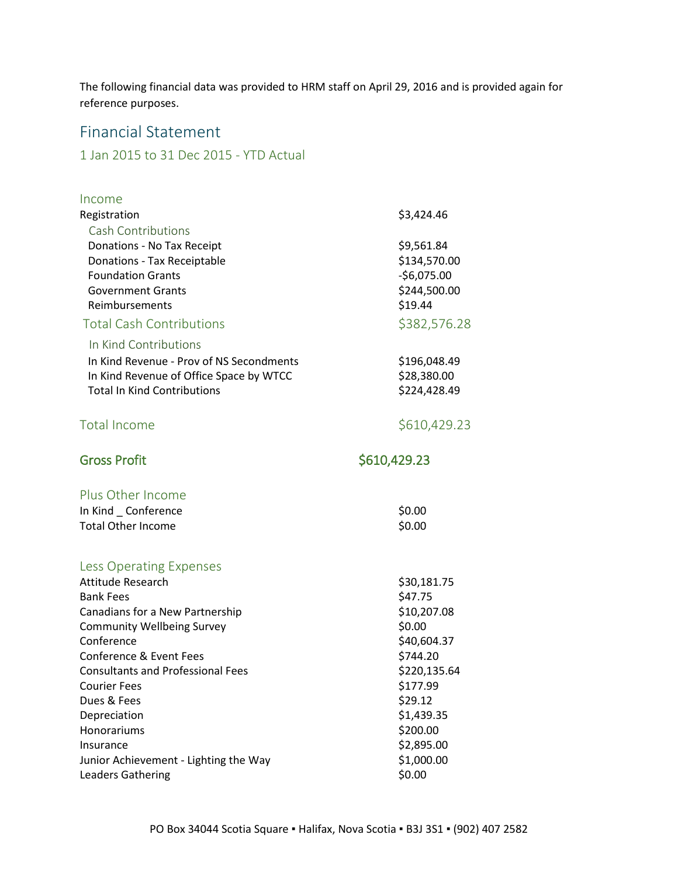The following financial data was provided to HRM staff on April 29, 2016 and is provided again for reference purposes.

## Financial Statement

## 1 Jan 2015 to 31 Dec 2015 - YTD Actual

| Income                                   |              |
|------------------------------------------|--------------|
| Registration                             | \$3,424.46   |
| <b>Cash Contributions</b>                |              |
| Donations - No Tax Receipt               | \$9,561.84   |
| Donations - Tax Receiptable              | \$134,570.00 |
| <b>Foundation Grants</b>                 | $-56,075.00$ |
| <b>Government Grants</b>                 | \$244,500.00 |
| Reimbursements                           | \$19.44      |
| <b>Total Cash Contributions</b>          | \$382,576.28 |
| In Kind Contributions                    |              |
| In Kind Revenue - Prov of NS Secondments | \$196,048.49 |
| In Kind Revenue of Office Space by WTCC  | \$28,380.00  |
| <b>Total In Kind Contributions</b>       | \$224,428.49 |
| Total Income                             | \$610,429.23 |
| <b>Gross Profit</b>                      | \$610,429.23 |
| Plus Other Income                        |              |
| In Kind _ Conference                     | \$0.00       |
| <b>Total Other Income</b>                | \$0.00       |
| <b>Less Operating Expenses</b>           |              |
| Attitude Research                        | \$30,181.75  |
| <b>Bank Fees</b>                         | \$47.75      |
| Canadians for a New Partnership          | \$10,207.08  |
| <b>Community Wellbeing Survey</b>        | \$0.00       |
| Conference                               | \$40,604.37  |
| Conference & Event Fees                  | \$744.20     |
| <b>Consultants and Professional Fees</b> | \$220,135.64 |
| <b>Courier Fees</b>                      | \$177.99     |
| Dues & Fees                              | \$29.12      |
| Depreciation                             | \$1,439.35   |
| Honorariums                              | \$200.00     |
| Insurance                                | \$2,895.00   |
| Junior Achievement - Lighting the Way    | \$1,000.00   |
| <b>Leaders Gathering</b>                 | \$0.00       |